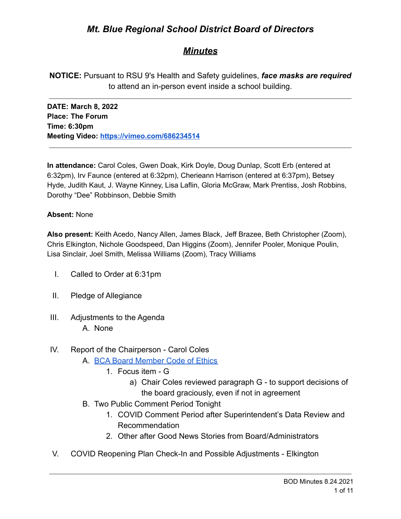# *Mt. Blue Regional School District Board of Directors*

# *Minutes*

**NOTICE:** Pursuant to RSU 9's Health and Safety guidelines, *face masks are required* to attend an in-person event inside a school building.

**DATE: March 8, 2022 Place: The Forum Time: 6:30pm Meeting Video: <https://vimeo.com/686234514>**

**In attendance:** Carol Coles, Gwen Doak, Kirk Doyle, Doug Dunlap, Scott Erb (entered at 6:32pm), Irv Faunce (entered at 6:32pm), Cherieann Harrison (entered at 6:37pm), Betsey Hyde, Judith Kaut, J. Wayne Kinney, Lisa Laflin, Gloria McGraw, Mark Prentiss, Josh Robbins, Dorothy "Dee" Robbinson, Debbie Smith

#### **Absent:** None

**Also present:** Keith Acedo, Nancy Allen, James Black, Jeff Brazee, Beth Christopher (Zoom), Chris Elkington, Nichole Goodspeed, Dan Higgins (Zoom), Jennifer Pooler, Monique Poulin, Lisa Sinclair, Joel Smith, Melissa Williams (Zoom), Tracy Williams

- I. Called to Order at 6:31pm
- II. Pledge of Allegiance
- III. Adjustments to the Agenda A. None

## IV. Report of the Chairperson - Carol Coles

- A. [BCA Board Member Code of Ethics](https://cdn.branchcms.com/yeQ4XpK43n-1155/docs/district/board-of-directors/policy-manual/section-b/BCA-Board-Member-Code-of-Ethics.pdf)
	- 1. Focus item G
		- a) Chair Coles reviewed paragraph G to support decisions of the board graciously, even if not in agreement
- B. Two Public Comment Period Tonight
	- 1. COVID Comment Period after Superintendent's Data Review and Recommendation
	- 2. Other after Good News Stories from Board/Administrators
- V. COVID Reopening Plan Check-In and Possible Adjustments Elkington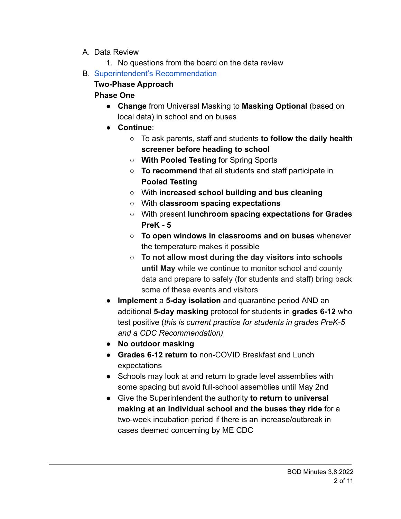- A. Data Review
	- 1. No questions from the board on the data review
- B. [Superintendent's Recommendation](https://drive.google.com/file/d/1Cr3zeDRIuhuKHe2hwiSkCfVD4ZZYdYuv/view?usp=sharing)

# **Two-Phase Approach**

# **Phase One**

- **Change** from Universal Masking to **Masking Optional** (based on local data) in school and on buses
- **Continue**:
	- To ask parents, staff and students **to follow the daily health screener before heading to school**
	- **With Pooled Testing** for Spring Sports
	- **To recommend** that all students and staff participate in **Pooled Testing**
	- **○** With **increased school building and bus cleaning**
	- **○** With **classroom spacing expectations**
	- **○** With present **lunchroom spacing expectations for Grades PreK - 5**
	- **○ To open windows in classrooms and on buses** whenever the temperature makes it possible
	- **To not allow most during the day visitors into schools until May** while we continue to monitor school and county data and prepare to safely (for students and staff) bring back some of these events and visitors
- **Implement** a **5-day isolation** and quarantine period AND an additional **5-day masking** protocol for students in **grades 6-12** who test positive (*this is current practice for students in grades PreK-5 and a CDC Recommendation)*
- **No outdoor masking**
- **Grades 6-12 return to** non-COVID Breakfast and Lunch expectations
- Schools may look at and return to grade level assemblies with some spacing but avoid full-school assemblies until May 2nd
- Give the Superintendent the authority **to return to universal making at an individual school and the buses they ride** for a two-week incubation period if there is an increase/outbreak in cases deemed concerning by ME CDC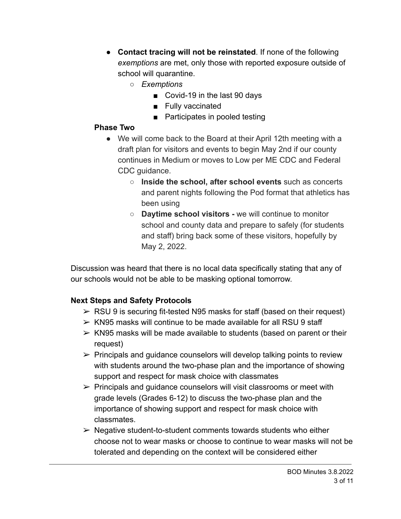- **Contact tracing will not be reinstated**. If none of the following *exemptions* are met, only those with reported exposure outside of school will quarantine.
	- *○ Exemptions*
		- Covid-19 in the last 90 days
		- Fully vaccinated
		- Participates in pooled testing

## **Phase Two**

- We will come back to the Board at their April 12th meeting with a draft plan for visitors and events to begin May 2nd if our county continues in Medium or moves to Low per ME CDC and Federal CDC guidance.
	- **Inside the school, after school events** such as concerts and parent nights following the Pod format that athletics has been using
	- **Daytime school visitors -** we will continue to monitor school and county data and prepare to safely (for students and staff) bring back some of these visitors, hopefully by May 2, 2022.

Discussion was heard that there is no local data specifically stating that any of our schools would not be able to be masking optional tomorrow.

# **Next Steps and Safety Protocols**

- $\triangleright$  RSU 9 is securing fit-tested N95 masks for staff (based on their request)
- $>$  KN95 masks will continue to be made available for all RSU 9 staff
- $\triangleright$  KN95 masks will be made available to students (based on parent or their request)
- $\triangleright$  Principals and quidance counselors will develop talking points to review with students around the two-phase plan and the importance of showing support and respect for mask choice with classmates
- $\triangleright$  Principals and quidance counselors will visit classrooms or meet with grade levels (Grades 6-12) to discuss the two-phase plan and the importance of showing support and respect for mask choice with classmates.
- $\triangleright$  Negative student-to-student comments towards students who either choose not to wear masks or choose to continue to wear masks will not be tolerated and depending on the context will be considered either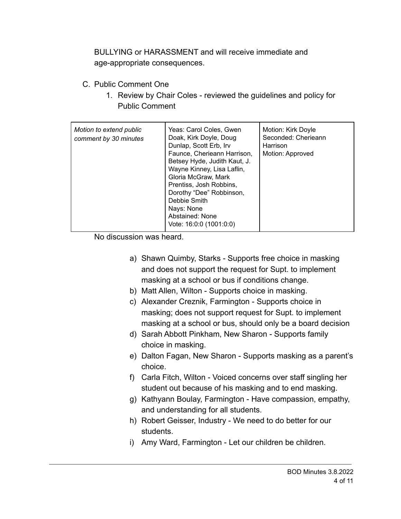BULLYING or HARASSMENT and will receive immediate and age-appropriate consequences.

- C. Public Comment One
	- 1. Review by Chair Coles reviewed the guidelines and policy for Public Comment

| Motion to extend public<br>comment by 30 minutes | Yeas: Carol Coles, Gwen<br>Doak, Kirk Doyle, Doug<br>Dunlap, Scott Erb, Irv<br>Faunce, Cherieann Harrison,<br>Betsey Hyde, Judith Kaut, J.<br>Wayne Kinney, Lisa Laflin,<br>Gloria McGraw, Mark<br>Prentiss, Josh Robbins,<br>Dorothy "Dee" Robbinson, | Motion: Kirk Doyle<br>Seconded: Cherieann<br>Harrison<br>Motion: Approved |
|--------------------------------------------------|--------------------------------------------------------------------------------------------------------------------------------------------------------------------------------------------------------------------------------------------------------|---------------------------------------------------------------------------|
|                                                  | Debbie Smith<br>Nays: None<br>Abstained: None<br>Vote: 16:0:0 (1001:0:0)                                                                                                                                                                               |                                                                           |

No discussion was heard.

- a) Shawn Quimby, Starks Supports free choice in masking and does not support the request for Supt. to implement masking at a school or bus if conditions change.
- b) Matt Allen, Wilton Supports choice in masking.
- c) Alexander Creznik, Farmington Supports choice in masking; does not support request for Supt. to implement masking at a school or bus, should only be a board decision
- d) Sarah Abbott Pinkham, New Sharon Supports family choice in masking.
- e) Dalton Fagan, New Sharon Supports masking as a parent's choice.
- f) Carla Fitch, Wilton Voiced concerns over staff singling her student out because of his masking and to end masking.
- g) Kathyann Boulay, Farmington Have compassion, empathy, and understanding for all students.
- h) Robert Geisser, Industry We need to do better for our students.
- i) Amy Ward, Farmington Let our children be children.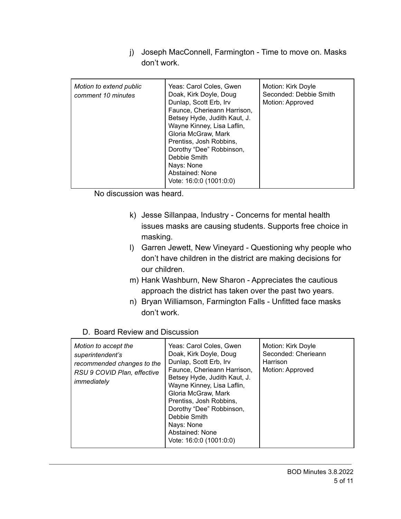j) Joseph MacConnell, Farmington - Time to move on. Masks don't work.

| Motion to extend public<br>comment 10 minutes | Yeas: Carol Coles, Gwen<br>Doak, Kirk Doyle, Doug<br>Dunlap, Scott Erb, Irv<br>Faunce, Cherieann Harrison,<br>Betsey Hyde, Judith Kaut, J.<br>Wayne Kinney, Lisa Laflin,<br>Gloria McGraw, Mark<br>Prentiss, Josh Robbins,<br>Dorothy "Dee" Robbinson,<br>Debbie Smith<br>Nays: None | Motion: Kirk Doyle<br>Seconded: Debbie Smith<br>Motion: Approved |
|-----------------------------------------------|--------------------------------------------------------------------------------------------------------------------------------------------------------------------------------------------------------------------------------------------------------------------------------------|------------------------------------------------------------------|
|                                               | Abstained: None<br>Vote: 16:0:0 (1001:0:0)                                                                                                                                                                                                                                           |                                                                  |

No discussion was heard.

- k) Jesse Sillanpaa, Industry Concerns for mental health issues masks are causing students. Supports free choice in masking.
- l) Garren Jewett, New Vineyard Questioning why people who don't have children in the district are making decisions for our children.
- m) Hank Washburn, New Sharon Appreciates the cautious approach the district has taken over the past two years.
- n) Bryan Williamson, Farmington Falls Unfitted face masks don't work.
- D. Board Review and Discussion

| Motion to accept the<br>superintendent's<br>recommended changes to the<br>RSU 9 COVID Plan, effective<br>immediately | Yeas: Carol Coles, Gwen<br>Doak, Kirk Doyle, Doug<br>Dunlap, Scott Erb, Irv<br>Faunce, Cherieann Harrison,<br>Betsey Hyde, Judith Kaut, J.<br>Wayne Kinney, Lisa Laflin,<br>Gloria McGraw, Mark<br>Prentiss, Josh Robbins,<br>Dorothy "Dee" Robbinson,<br>Debbie Smith<br>Nays: None<br>Abstained: None<br>Vote: 16:0:0 (1001:0:0) | Motion: Kirk Doyle<br>Seconded: Cherieann<br>Harrison<br>Motion: Approved |
|----------------------------------------------------------------------------------------------------------------------|------------------------------------------------------------------------------------------------------------------------------------------------------------------------------------------------------------------------------------------------------------------------------------------------------------------------------------|---------------------------------------------------------------------------|
|----------------------------------------------------------------------------------------------------------------------|------------------------------------------------------------------------------------------------------------------------------------------------------------------------------------------------------------------------------------------------------------------------------------------------------------------------------------|---------------------------------------------------------------------------|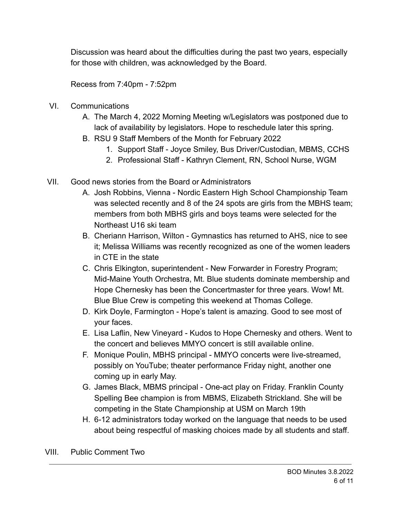Discussion was heard about the difficulties during the past two years, especially for those with children, was acknowledged by the Board.

Recess from 7:40pm - 7:52pm

- VI. Communications
	- A. The March 4, 2022 Morning Meeting w/Legislators was postponed due to lack of availability by legislators. Hope to reschedule later this spring.
	- B. RSU 9 Staff Members of the Month for February 2022
		- 1. Support Staff Joyce Smiley, Bus Driver/Custodian, MBMS, CCHS
		- 2. Professional Staff Kathryn Clement, RN, School Nurse, WGM
- VII. Good news stories from the Board or Administrators
	- A. Josh Robbins, Vienna Nordic Eastern High School Championship Team was selected recently and 8 of the 24 spots are girls from the MBHS team; members from both MBHS girls and boys teams were selected for the Northeast U16 ski team
	- B. Cheriann Harrison, Wilton Gymnastics has returned to AHS, nice to see it; Melissa Williams was recently recognized as one of the women leaders in CTE in the state
	- C. Chris Elkington, superintendent New Forwarder in Forestry Program; Mid-Maine Youth Orchestra, Mt. Blue students dominate membership and Hope Chernesky has been the Concertmaster for three years. Wow! Mt. Blue Blue Crew is competing this weekend at Thomas College.
	- D. Kirk Doyle, Farmington Hope's talent is amazing. Good to see most of your faces.
	- E. Lisa Laflin, New Vineyard Kudos to Hope Chernesky and others. Went to the concert and believes MMYO concert is still available online.
	- F. Monique Poulin, MBHS principal MMYO concerts were live-streamed, possibly on YouTube; theater performance Friday night, another one coming up in early May.
	- G. James Black, MBMS principal One-act play on Friday. Franklin County Spelling Bee champion is from MBMS, Elizabeth Strickland. She will be competing in the State Championship at USM on March 19th
	- H. 6-12 administrators today worked on the language that needs to be used about being respectful of masking choices made by all students and staff.

VIII. Public Comment Two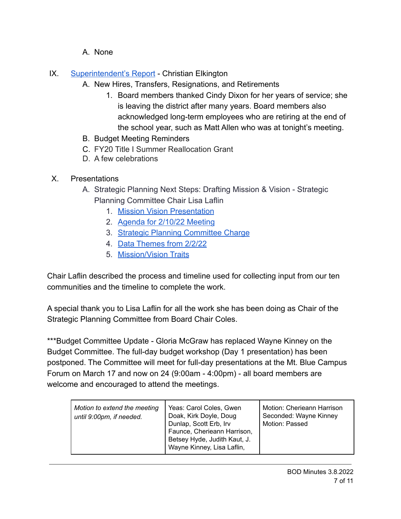- A. None
- IX. [Superintendent's Report](https://drive.google.com/file/d/1GOBk2jkElI061g90XJBipK0S0Ba-oXhh/view?usp=sharing9ScyPJ11roCaeKn1L8hT8/edit?usp=sharing) Christian Elkington
	- A. New Hires, Transfers, Resignations, and Retirements
		- 1. Board members thanked Cindy Dixon for her years of service; she is leaving the district after many years. Board members also acknowledged long-term employees who are retiring at the end of the school year, such as Matt Allen who was at tonight's meeting.
	- B. Budget Meeting Reminders
	- C. FY20 Title I Summer Reallocation Grant
	- D. A few celebrations
- X. Presentations
	- A. Strategic Planning Next Steps: Drafting Mission & Vision Strategic Planning Committee Chair Lisa Laflin
		- 1. [Mission Vision Presentation](https://drive.google.com/file/d/1iLnFiG9tbeC3XCzJGpcRkjwZQzvmTcqZ/view?usp=sharing)
		- 2. [Agenda for 2/10/22 Meeting](https://drive.google.com/file/d/1bVlou3whYGBo4XNjTg3KcAVcqq_7gylZ/view?usp=sharing)
		- 3. [Strategic Planning Committee Charge](https://drive.google.com/file/d/1gt3MxQxyViMUaAr7OBsniUFrzuE4r8cl/view?usp=sharing)
		- 4. [Data Themes from 2/2/22](https://drive.google.com/file/d/187PRUUuK87O4eLk7e6XCm79leSOwWyEi/view?usp=sharing)
		- 5. [Mission/Vision Traits](https://drive.google.com/file/d/10x542xZ52SYr9Fm_3d72FfaWm8m1FGQw/view?usp=sharing)

Chair Laflin described the process and timeline used for collecting input from our ten communities and the timeline to complete the work.

A special thank you to Lisa Laflin for all the work she has been doing as Chair of the Strategic Planning Committee from Board Chair Coles.

\*\*\*Budget Committee Update - Gloria McGraw has replaced Wayne Kinney on the Budget Committee. The full-day budget workshop (Day 1 presentation) has been postponed. The Committee will meet for full-day presentations at the Mt. Blue Campus Forum on March 17 and now on 24 (9:00am - 4:00pm) - all board members are welcome and encouraged to attend the meetings.

| Motion to extend the meeting<br>until 9:00pm, if needed. | Yeas: Carol Coles, Gwen<br>Doak, Kirk Doyle, Doug<br>Dunlap, Scott Erb, Irv<br>Faunce, Cherieann Harrison,<br>Betsey Hyde, Judith Kaut, J.<br>Wayne Kinney, Lisa Laflin, | Motion: Cherieann Harrison<br>Seconded: Wayne Kinney<br>Motion: Passed |
|----------------------------------------------------------|--------------------------------------------------------------------------------------------------------------------------------------------------------------------------|------------------------------------------------------------------------|
|----------------------------------------------------------|--------------------------------------------------------------------------------------------------------------------------------------------------------------------------|------------------------------------------------------------------------|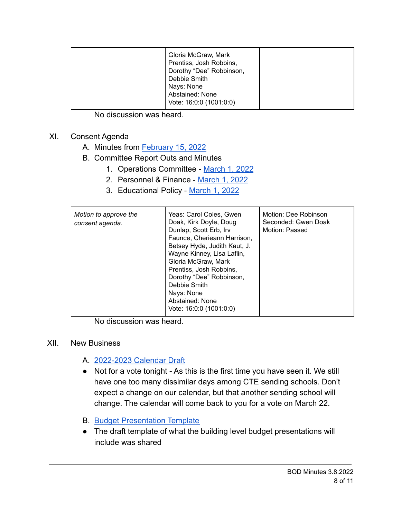No discussion was heard.

# XI. Consent Agenda

- A. Minutes from [February 15, 2022](https://drive.google.com/file/d/1jl5vyke7qCAURJ2aWPN7BVI6ByUKcDXj/view?usp=sharing)
- B. Committee Report Outs and Minutes
	- 1. Operations Committee [March 1, 2022](https://drive.google.com/file/d/1HUXc7HCBqABMfOyiwZNyQXGgFjPEov5b/view?usp=sharing)
	- 2. Personnel & Finance [March 1, 2022](https://drive.google.com/file/d/1s2Tp9nftC7iRDFwG7eclQ8H2xlm1nvaG/view?usp=sharing)
	- 3. Educational Policy [March 1, 2022](https://drive.google.com/file/d/1RrHAGUJq8T0OF5gMTGNQ2_sOgWMbIWVH/view?usp=sharing)

| Yeas: Carol Coles, Gwen<br>Motion to approve the<br>Doak, Kirk Doyle, Doug<br>consent agenda.<br>Dunlap, Scott Erb, Irv<br>Faunce, Cherieann Harrison,<br>Betsey Hyde, Judith Kaut, J.<br>Wayne Kinney, Lisa Laflin,<br>Gloria McGraw, Mark<br>Prentiss, Josh Robbins,<br>Dorothy "Dee" Robbinson,<br>Debbie Smith<br>Nays: None<br>Abstained: None<br>Vote: 16:0:0 (1001:0:0) | Seconded: Gwen Doak<br>Motion: Passed |
|--------------------------------------------------------------------------------------------------------------------------------------------------------------------------------------------------------------------------------------------------------------------------------------------------------------------------------------------------------------------------------|---------------------------------------|
|--------------------------------------------------------------------------------------------------------------------------------------------------------------------------------------------------------------------------------------------------------------------------------------------------------------------------------------------------------------------------------|---------------------------------------|

No discussion was heard.

## XII. New Business

- A. [2022-2023 Calendar Draft](https://drive.google.com/file/d/1w0ROCyhy2nDwaPZqj-tdcCZ7l388cxvU/view?usp=sharing)
- Not for a vote tonight As this is the first time you have seen it. We still have one too many dissimilar days among CTE sending schools. Don't expect a change on our calendar, but that another sending school will change. The calendar will come back to you for a vote on March 22.
- **B.** [Budget Presentation Template](https://drive.google.com/file/d/1vBZ3AakhtJ0j5WoD_JlFBBqO-XgCY-rh/view?usp=sharing)
- The draft template of what the building level budget presentations will include was shared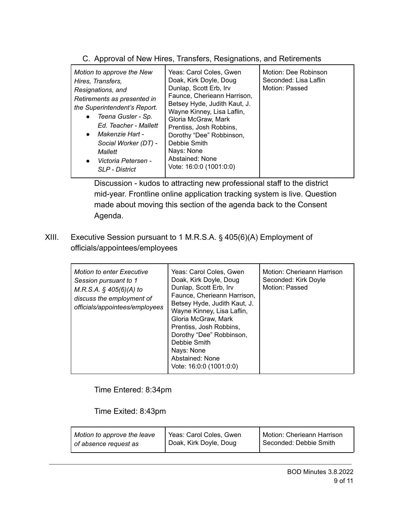| Motion to approve the New<br>Hires, Transfers,<br>Resignations, and<br>Retirements as presented in<br>the Superintendent's Report.<br>Teena Gusler - Sp.<br>$\bullet$<br>Ed. Teacher - Mallett<br>Makenzie Hart -<br>$\bullet$<br>Social Worker (DT) -<br>Mallett<br>Victoria Petersen -<br>$\bullet$<br><b>SLP</b> - District | Yeas: Carol Coles, Gwen<br>Doak, Kirk Doyle, Doug<br>Dunlap, Scott Erb, Irv<br>Faunce, Cherieann Harrison,<br>Betsey Hyde, Judith Kaut, J.<br>Wayne Kinney, Lisa Laflin,<br>Gloria McGraw, Mark<br>Prentiss, Josh Robbins,<br>Dorothy "Dee" Robbinson,<br>Debbie Smith<br>Nays: None<br>Abstained: None<br>Vote: 16:0:0 (1001:0:0) | Motion: Dee Robinson<br>Seconded: Lisa Laflin<br>Motion: Passed |
|--------------------------------------------------------------------------------------------------------------------------------------------------------------------------------------------------------------------------------------------------------------------------------------------------------------------------------|------------------------------------------------------------------------------------------------------------------------------------------------------------------------------------------------------------------------------------------------------------------------------------------------------------------------------------|-----------------------------------------------------------------|

C. Approval of New Hires, Transfers, Resignations, and Retirements

Discussion - kudos to attracting new professional staff to the district mid-year. Frontline online application tracking system is live. Question made about moving this section of the agenda back to the Consent Agenda.

XIII. Executive Session pursuant to 1 M.R.S.A. § 405(6)(A) Employment of officials/appointees/employees

| <b>Motion to enter Executive</b><br>Session pursuant to 1<br>$M.R.S.A.$ § 405(6)(A) to<br>discuss the employment of<br>officials/appointees/employees | Yeas: Carol Coles, Gwen<br>Doak, Kirk Doyle, Doug<br>Dunlap, Scott Erb, Irv<br>Faunce, Cherieann Harrison,<br>Betsey Hyde, Judith Kaut, J.<br>Wayne Kinney, Lisa Laflin,<br>Gloria McGraw, Mark<br>Prentiss, Josh Robbins,<br>Dorothy "Dee" Robbinson,<br>Debbie Smith<br>Nays: None<br>Abstained: None<br>Vote: 16:0:0 (1001:0:0) | Motion: Cherieann Harrison<br>Seconded: Kirk Doyle<br>Motion: Passed |
|-------------------------------------------------------------------------------------------------------------------------------------------------------|------------------------------------------------------------------------------------------------------------------------------------------------------------------------------------------------------------------------------------------------------------------------------------------------------------------------------------|----------------------------------------------------------------------|
|-------------------------------------------------------------------------------------------------------------------------------------------------------|------------------------------------------------------------------------------------------------------------------------------------------------------------------------------------------------------------------------------------------------------------------------------------------------------------------------------------|----------------------------------------------------------------------|

## Time Entered: 8:34pm

## Time Exited: 8:43pm

| Motion to approve the leave | Yeas: Carol Coles, Gwen | Motion: Cherieann Harrison |
|-----------------------------|-------------------------|----------------------------|
| of absence request as       | Doak, Kirk Doyle, Doug  | Seconded: Debbie Smith     |
|                             |                         |                            |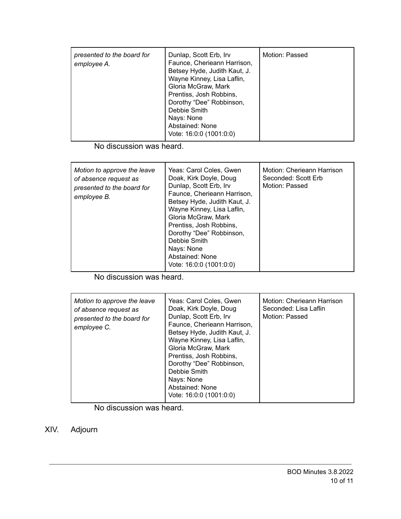| presented to the board for<br>employee A. | Dunlap, Scott Erb, Irv<br>Faunce, Cherieann Harrison,<br>Betsey Hyde, Judith Kaut, J.<br>Wayne Kinney, Lisa Laflin,<br>Gloria McGraw, Mark<br>Prentiss, Josh Robbins,<br>Dorothy "Dee" Robbinson,<br>Debbie Smith<br>Nays: None<br>Abstained: None<br>Vote: 16:0:0 (1001:0:0) | Motion: Passed |
|-------------------------------------------|-------------------------------------------------------------------------------------------------------------------------------------------------------------------------------------------------------------------------------------------------------------------------------|----------------|
|-------------------------------------------|-------------------------------------------------------------------------------------------------------------------------------------------------------------------------------------------------------------------------------------------------------------------------------|----------------|

No discussion was heard.

| Motion: Cherieann Harrison<br>Motion to approve the leave<br>Yeas: Carol Coles, Gwen<br>Doak, Kirk Doyle, Doug<br>Seconded: Scott Erb<br>of absence request as<br>Dunlap, Scott Erb, Irv<br>Motion: Passed<br>presented to the board for<br>Faunce, Cherieann Harrison,<br>employee B.<br>Betsey Hyde, Judith Kaut, J.<br>Wayne Kinney, Lisa Laflin,<br>Gloria McGraw, Mark<br>Prentiss, Josh Robbins,<br>Dorothy "Dee" Robbinson,<br>Debbie Smith<br>Nays: None<br>Abstained: None<br>Vote: 16:0:0 (1001:0:0) |  |
|----------------------------------------------------------------------------------------------------------------------------------------------------------------------------------------------------------------------------------------------------------------------------------------------------------------------------------------------------------------------------------------------------------------------------------------------------------------------------------------------------------------|--|
|----------------------------------------------------------------------------------------------------------------------------------------------------------------------------------------------------------------------------------------------------------------------------------------------------------------------------------------------------------------------------------------------------------------------------------------------------------------------------------------------------------------|--|

No discussion was heard.

| Motion to approve the leave<br>of absence request as<br>presented to the board for<br>employee C. | Yeas: Carol Coles, Gwen<br>Doak, Kirk Doyle, Doug<br>Dunlap, Scott Erb, Irv<br>Faunce, Cherieann Harrison,<br>Betsey Hyde, Judith Kaut, J.<br>Wayne Kinney, Lisa Laflin,<br>Gloria McGraw, Mark<br>Prentiss, Josh Robbins,<br>Dorothy "Dee" Robbinson,<br>Debbie Smith<br>Nays: None<br>Abstained: None | Motion: Cherieann Harrison<br>Seconded: Lisa Laflin<br>Motion: Passed |
|---------------------------------------------------------------------------------------------------|---------------------------------------------------------------------------------------------------------------------------------------------------------------------------------------------------------------------------------------------------------------------------------------------------------|-----------------------------------------------------------------------|
|                                                                                                   | Vote: 16:0:0 (1001:0:0)                                                                                                                                                                                                                                                                                 |                                                                       |

No discussion was heard.

XIV. Adjourn